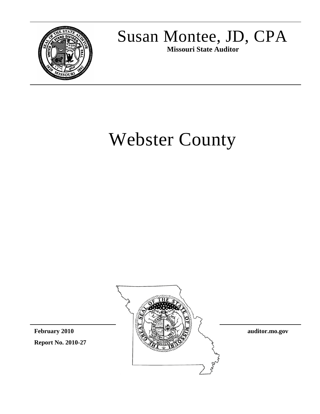

## Susan Montee, JD, CPA **Missouri State Auditor**

# Webster County

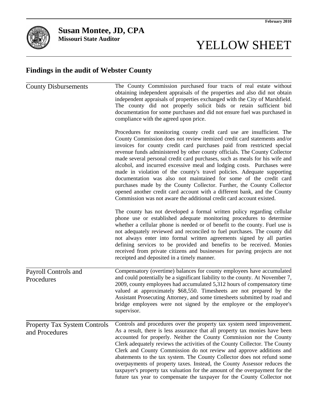# YELLOW SHEET

### **Findings in the audit of Webster County**

| <b>County Disbursements</b>                           | The County Commission purchased four tracts of real estate without<br>obtaining independent appraisals of the properties and also did not obtain<br>independent appraisals of properties exchanged with the City of Marshfield.<br>The county did not properly solicit bids or retain sufficient bid<br>documentation for some purchases and did not ensure fuel was purchased in<br>compliance with the agreed upon price.                                                                                                                                                                                                                                                                                                                                                                                                                     |  |  |  |  |
|-------------------------------------------------------|-------------------------------------------------------------------------------------------------------------------------------------------------------------------------------------------------------------------------------------------------------------------------------------------------------------------------------------------------------------------------------------------------------------------------------------------------------------------------------------------------------------------------------------------------------------------------------------------------------------------------------------------------------------------------------------------------------------------------------------------------------------------------------------------------------------------------------------------------|--|--|--|--|
|                                                       | Procedures for monitoring county credit card use are insufficient. The<br>County Commission does not review itemized credit card statements and/or<br>invoices for county credit card purchases paid from restricted special<br>revenue funds administered by other county officials. The County Collector<br>made several personal credit card purchases, such as meals for his wife and<br>alcohol, and incurred excessive meal and lodging costs. Purchases were<br>made in violation of the county's travel policies. Adequate supporting<br>documentation was also not maintained for some of the credit card<br>purchases made by the County Collector. Further, the County Collector<br>opened another credit card account with a different bank, and the County<br>Commission was not aware the additional credit card account existed. |  |  |  |  |
|                                                       | The county has not developed a formal written policy regarding cellular<br>phone use or established adequate monitoring procedures to determine<br>whether a cellular phone is needed or of benefit to the county. Fuel use is<br>not adequately reviewed and reconciled to fuel purchases. The county did<br>not always enter into formal written agreements signed by all parties<br>defining services to be provided and benefits to be received. Monies<br>received from private citizens and businesses for paving projects are not<br>receipted and deposited in a timely manner.                                                                                                                                                                                                                                                         |  |  |  |  |
| Payroll Controls and<br>Procedures                    | Compensatory (overtime) balances for county employees have accumulated<br>and could potentially be a significant liability to the county. At November 7,<br>2009, county employees had accumulated 5,312 hours of compensatory time<br>valued at approximately \$68,550. Timesheets are not prepared by the<br>Assistant Prosecuting Attorney, and some timesheets submitted by road and<br>bridge employees were not signed by the employee or the employee's<br>supervisor.                                                                                                                                                                                                                                                                                                                                                                   |  |  |  |  |
| <b>Property Tax System Controls</b><br>and Procedures | Controls and procedures over the property tax system need improvement.<br>As a result, there is less assurance that all property tax monies have been<br>accounted for properly. Neither the County Commission nor the County<br>Clerk adequately reviews the activities of the County Collector. The County<br>Clerk and County Commission do not review and approve additions and<br>abatements to the tax system. The County Collector does not refund some<br>overpayments of property taxes. Instead, the County Assessor reduces the<br>taxpayer's property tax valuation for the amount of the overpayment for the<br>future tax year to compensate the taxpayer for the County Collector not                                                                                                                                            |  |  |  |  |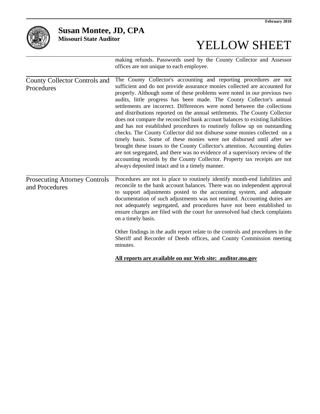

### **Susan Montee, JD, CPA**

**Missouri State Auditor**

# YELLOW SHEET

making refunds. Passwords used by the County Collector and Assessor offices are not unique to each employee.

| <b>County Collector Controls and</b><br>Procedures     | The County Collector's accounting and reporting procedures are not<br>sufficient and do not provide assurance monies collected are accounted for<br>properly. Although some of these problems were noted in our previous two<br>audits, little progress has been made. The County Collector's annual<br>settlements are incorrect. Differences were noted between the collections<br>and distributions reported on the annual settlements. The County Collector<br>does not compare the reconciled bank account balances to existing liabilities<br>and has not established procedures to routinely follow up on outstanding<br>checks. The County Collector did not disburse some monies collected on a<br>timely basis. Some of these monies were not disbursed until after we<br>brought these issues to the County Collector's attention. Accounting duties<br>are not segregated, and there was no evidence of a supervisory review of the<br>accounting records by the County Collector. Property tax receipts are not<br>always deposited intact and in a timely manner. |
|--------------------------------------------------------|---------------------------------------------------------------------------------------------------------------------------------------------------------------------------------------------------------------------------------------------------------------------------------------------------------------------------------------------------------------------------------------------------------------------------------------------------------------------------------------------------------------------------------------------------------------------------------------------------------------------------------------------------------------------------------------------------------------------------------------------------------------------------------------------------------------------------------------------------------------------------------------------------------------------------------------------------------------------------------------------------------------------------------------------------------------------------------|
| <b>Prosecuting Attorney Controls</b><br>and Procedures | Procedures are not in place to routinely identify month-end liabilities and<br>reconcile to the bank account balances. There was no independent approval<br>to support adjustments posted to the accounting system, and adequate<br>documentation of such adjustments was not retained. Accounting duties are<br>not adequately segregated, and procedures have not been established to<br>ensure charges are filed with the court for unresolved bad check complaints<br>on a timely basis.<br>Other findings in the audit report relate to the controls and procedures in the<br>Sheriff and Recorder of Deeds offices, and County Commission meeting<br>minutes.                                                                                                                                                                                                                                                                                                                                                                                                             |
|                                                        | All reports are available on our Web site: auditor.mo.gov                                                                                                                                                                                                                                                                                                                                                                                                                                                                                                                                                                                                                                                                                                                                                                                                                                                                                                                                                                                                                       |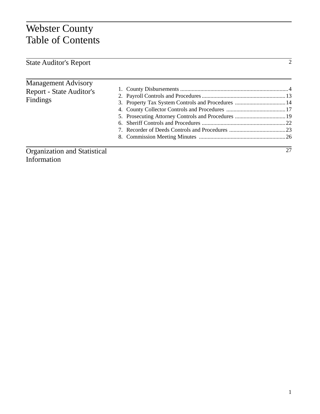### Webster County Table of Contents

| <b>State Auditor's Report</b>       | $\overline{2}$ |
|-------------------------------------|----------------|
|                                     |                |
| <b>Management Advisory</b>          |                |
| Report - State Auditor's            |                |
| Findings                            |                |
|                                     |                |
|                                     |                |
|                                     |                |
|                                     |                |
|                                     |                |
|                                     |                |
| <b>Organization and Statistical</b> | 27             |

Information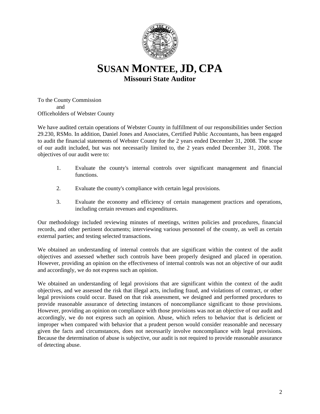

**SUSAN MONTEE, JD, CPA Missouri State Auditor**

To the County Commission and Officeholders of Webster County

We have audited certain operations of Webster County in fulfillment of our responsibilities under Section 29.230, RSMo. In addition, Daniel Jones and Associates, Certified Public Accountants, has been engaged to audit the financial statements of Webster County for the 2 years ended December 31, 2008. The scope of our audit included, but was not necessarily limited to, the 2 years ended December 31, 2008. The objectives of our audit were to:

- 1. Evaluate the county's internal controls over significant management and financial functions.
- 2. Evaluate the county's compliance with certain legal provisions.
- 3. Evaluate the economy and efficiency of certain management practices and operations, including certain revenues and expenditures.

Our methodology included reviewing minutes of meetings, written policies and procedures, financial records, and other pertinent documents; interviewing various personnel of the county, as well as certain external parties; and testing selected transactions.

We obtained an understanding of internal controls that are significant within the context of the audit objectives and assessed whether such controls have been properly designed and placed in operation. However, providing an opinion on the effectiveness of internal controls was not an objective of our audit and accordingly, we do not express such an opinion.

We obtained an understanding of legal provisions that are significant within the context of the audit objectives, and we assessed the risk that illegal acts, including fraud, and violations of contract, or other legal provisions could occur. Based on that risk assessment, we designed and performed procedures to provide reasonable assurance of detecting instances of noncompliance significant to those provisions. However, providing an opinion on compliance with those provisions was not an objective of our audit and accordingly, we do not express such an opinion. Abuse, which refers to behavior that is deficient or improper when compared with behavior that a prudent person would consider reasonable and necessary given the facts and circumstances, does not necessarily involve noncompliance with legal provisions. Because the determination of abuse is subjective, our audit is not required to provide reasonable assurance of detecting abuse.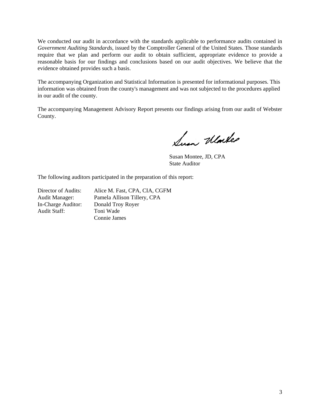We conducted our audit in accordance with the standards applicable to performance audits contained in *Government Auditing Standards*, issued by the Comptroller General of the United States. Those standards require that we plan and perform our audit to obtain sufficient, appropriate evidence to provide a reasonable basis for our findings and conclusions based on our audit objectives. We believe that the evidence obtained provides such a basis.

The accompanying Organization and Statistical Information is presented for informational purposes. This information was obtained from the county's management and was not subjected to the procedures applied in our audit of the county.

The accompanying Management Advisory Report presents our findings arising from our audit of Webster County.

Sun Warker

Susan Montee, JD, CPA State Auditor

The following auditors participated in the preparation of this report:

Director of Audits: Alice M. Fast, CPA, CIA, CGFM Audit Manager: Pamela Allison Tillery, CPA In-Charge Auditor: Donald Troy Royer<br>Audit Staff: Toni Wade Toni Wade Connie James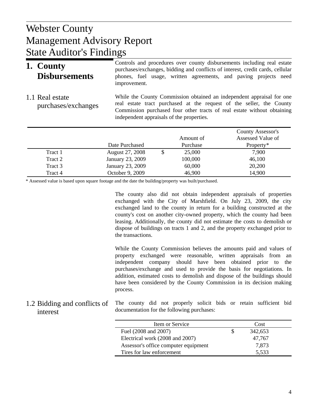### $W<sub>1</sub>$  Donot Management Advisory Report Webster County State Auditor's Findings

| 1. County<br><b>Disbursements</b>      | Controls and procedures over county disbursements including real estate<br>purchases/exchanges, bidding and conflicts of interest, credit cards, cellular<br>phones, fuel usage, written agreements, and paving projects need<br>improvement. |
|----------------------------------------|-----------------------------------------------------------------------------------------------------------------------------------------------------------------------------------------------------------------------------------------------|
| 1.1 Real estate<br>purchases/exchanges | While the County Commission obtained an independent appraisal for one<br>real estate tract purchased at the request of the seller, the County<br>Commission purchased four other tracts of real estate without obtaining                      |

independent appraisals of the properties.

|         |                  | Amount of    | County Assessor's<br>Assessed Value of |
|---------|------------------|--------------|----------------------------------------|
|         | Date Purchased   | Purchase     | Property*                              |
| Tract 1 | August 27, 2008  | \$<br>25,000 | 7,900                                  |
| Tract 2 | January 23, 2009 | 100,000      | 46,100                                 |
| Tract 3 | January 23, 2009 | 60,000       | 20,200                                 |
| Tract 4 | October 9, 2009  | 46,900       | 14,900                                 |

\* Assessed value is based upon square footage and the date the building/property was built/purchased.

The county also did not obtain independent appraisals of properties exchanged with the City of Marshfield. On July 23, 2009, the city exchanged land to the county in return for a building constructed at the county's cost on another city-owned property, which the county had been leasing. Additionally, the county did not estimate the costs to demolish or dispose of buildings on tracts 1 and 2, and the property exchanged prior to the transactions.

While the County Commission believes the amounts paid and values of property exchanged were reasonable, written appraisals from an independent company should have been obtained prior to the purchases/exchange and used to provide the basis for negotiations. In addition, estimated costs to demolish and dispose of the buildings should have been considered by the County Commission in its decision making process.

The county did not properly solicit bids or retain sufficient bid documentation for the following purchases: 1.2 Bidding and conflicts of interest

| Item or Service                      | Cost    |  |
|--------------------------------------|---------|--|
| Fuel (2008 and 2007)                 | 342,653 |  |
| Electrical work (2008 and 2007)      | 47.767  |  |
| Assessor's office computer equipment | 7,873   |  |
| Tires for law enforcement            | 5,533   |  |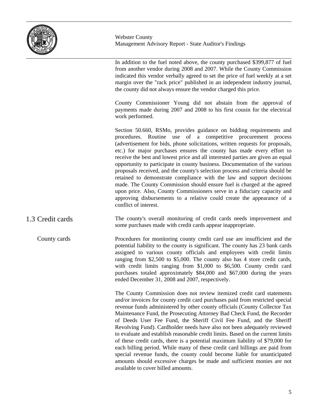

In addition to the fuel noted above, the county purchased \$399,877 of fuel from another vendor during 2008 and 2007. While the County Commission indicated this vendor verbally agreed to set the price of fuel weekly at a set margin over the "rack price" published in an independent industry journal, the county did not always ensure the vendor charged this price.

County Commissioner Young did not abstain from the approval of payments made during 2007 and 2008 to his first cousin for the electrical work performed.

Section 50.660, RSMo, provides guidance on bidding requirements and procedures. Routine use of a competitive procurement process (advertisement for bids, phone solicitations, written requests for proposals, etc.) for major purchases ensures the county has made every effort to receive the best and lowest price and all interested parties are given an equal opportunity to participate in county business. Documentation of the various proposals received, and the county's selection process and criteria should be retained to demonstrate compliance with the law and support decisions made. The County Commission should ensure fuel is charged at the agreed upon price. Also, County Commissioners serve in a fiduciary capacity and approving disbursements to a relative could create the appearance of a conflict of interest.

The county's overall monitoring of credit cards needs improvement and some purchases made with credit cards appear inappropriate. 1.3 Credit cards

Procedures for monitoring county credit card use are insufficient and the potential liability to the county is significant. The county has 23 bank cards assigned to various county officials and employees with credit limits ranging from \$2,500 to \$5,000. The county also has 4 store credit cards, with credit limits ranging from \$1,000 to \$6,500. County credit card purchases totaled approximately \$84,000 and \$67,000 during the years ended December 31, 2008 and 2007, respectively. County cards

> The County Commission does not review itemized credit card statements and/or invoices for county credit card purchases paid from restricted special revenue funds administered by other county officials (County Collector Tax Maintenance Fund, the Prosecuting Attorney Bad Check Fund, the Recorder of Deeds User Fee Fund, the Sheriff Civil Fee Fund, and the Sheriff Revolving Fund). Cardholder needs have also not been adequately reviewed to evaluate and establish reasonable credit limits. Based on the current limits of these credit cards, there is a potential maximum liability of \$79,000 for each billing period. While many of these credit card billings are paid from special revenue funds, the county could become liable for unanticipated amounts should excessive charges be made and sufficient monies are not available to cover billed amounts.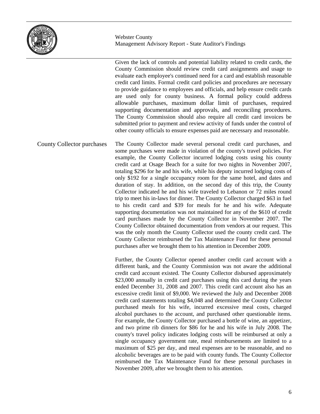

Given the lack of controls and potential liability related to credit cards, the County Commission should review credit card assignments and usage to evaluate each employee's continued need for a card and establish reasonable credit card limits. Formal credit card policies and procedures are necessary to provide guidance to employees and officials, and help ensure credit cards are used only for county business. A formal policy could address allowable purchases, maximum dollar limit of purchases, required supporting documentation and approvals, and reconciling procedures. The County Commission should also require all credit card invoices be submitted prior to payment and review activity of funds under the control of other county officials to ensure expenses paid are necessary and reasonable.

The County Collector made several personal credit card purchases, and some purchases were made in violation of the county's travel policies. For example, the County Collector incurred lodging costs using his county credit card at Osage Beach for a suite for two nights in November 2007, totaling \$296 for he and his wife, while his deputy incurred lodging costs of only \$192 for a single occupancy room for the same hotel, and dates and duration of stay. In addition, on the second day of this trip, the County Collector indicated he and his wife traveled to Lebanon or 72 miles round trip to meet his in-laws for dinner. The County Collector charged \$63 in fuel to his credit card and \$39 for meals for he and his wife. Adequate supporting documentation was not maintained for any of the \$610 of credit card purchases made by the County Collector in November 2007. The County Collector obtained documentation from vendors at our request. This was the only month the County Collector used the county credit card. The County Collector reimbursed the Tax Maintenance Fund for these personal purchases after we brought them to his attention in December 2009. County Collector purchases

> Further, the County Collector opened another credit card account with a different bank, and the County Commission was not aware the additional credit card account existed. The County Collector disbursed approximately \$23,000 annually in credit card purchases using this card during the years ended December 31, 2008 and 2007. This credit card account also has an excessive credit limit of \$9,000. We reviewed the July and December 2008 credit card statements totaling \$4,048 and determined the County Collector purchased meals for his wife, incurred excessive meal costs, charged alcohol purchases to the account, and purchased other questionable items. For example, the County Collector purchased a bottle of wine, an appetizer, and two prime rib dinners for \$86 for he and his wife in July 2008. The county's travel policy indicates lodging costs will be reimbursed at only a single occupancy government rate, meal reimbursements are limited to a maximum of \$25 per day, and meal expenses are to be reasonable, and no alcoholic beverages are to be paid with county funds. The County Collector reimbursed the Tax Maintenance Fund for these personal purchases in November 2009, after we brought them to his attention.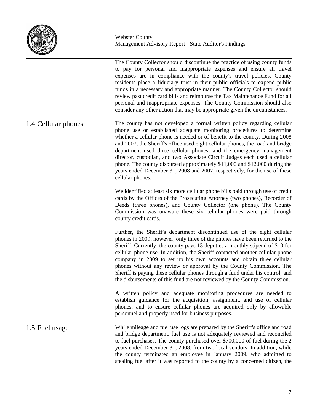

The County Collector should discontinue the practice of using county funds to pay for personal and inappropriate expenses and ensure all travel expenses are in compliance with the county's travel policies. County residents place a fiduciary trust in their public officials to expend public funds in a necessary and appropriate manner. The County Collector should review past credit card bills and reimburse the Tax Maintenance Fund for all personal and inappropriate expenses. The County Commission should also consider any other action that may be appropriate given the circumstances.

The county has not developed a formal written policy regarding cellular phone use or established adequate monitoring procedures to determine whether a cellular phone is needed or of benefit to the county. During 2008 and 2007, the Sheriff's office used eight cellular phones, the road and bridge department used three cellular phones; and the emergency management director, custodian, and two Associate Circuit Judges each used a cellular phone. The county disbursed approximately \$11,000 and \$12,000 during the years ended December 31, 2008 and 2007, respectively, for the use of these cellular phones. 1.4 Cellular phones

> We identified at least six more cellular phone bills paid through use of credit cards by the Offices of the Prosecuting Attorney (two phones), Recorder of Deeds (three phones), and County Collector (one phone). The County Commission was unaware these six cellular phones were paid through county credit cards.

> Further, the Sheriff's department discontinued use of the eight cellular phones in 2009; however, only three of the phones have been returned to the Sheriff. Currently, the county pays 13 deputies a monthly stipend of \$10 for cellular phone use. In addition, the Sheriff contacted another cellular phone company in 2009 to set up his own accounts and obtain three cellular phones without any review or approval by the County Commission. The Sheriff is paying these cellular phones through a fund under his control, and the disbursements of this fund are not reviewed by the County Commission.

> A written policy and adequate monitoring procedures are needed to establish guidance for the acquisition, assignment, and use of cellular phones, and to ensure cellular phones are acquired only by allowable personnel and properly used for business purposes.

While mileage and fuel use logs are prepared by the Sheriff's office and road and bridge department, fuel use is not adequately reviewed and reconciled to fuel purchases. The county purchased over \$700,000 of fuel during the 2 years ended December 31, 2008, from two local vendors. In addition, while the county terminated an employee in January 2009, who admitted to stealing fuel after it was reported to the county by a concerned citizen, the 1.5 Fuel usage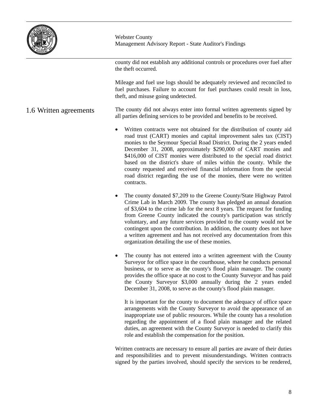

county did not establish any additional controls or procedures over fuel after the theft occurred.

Mileage and fuel use logs should be adequately reviewed and reconciled to fuel purchases. Failure to account for fuel purchases could result in loss, theft, and misuse going undetected.

The county did not always enter into formal written agreements signed by all parties defining services to be provided and benefits to be received. 1.6 Written agreements

- Written contracts were not obtained for the distribution of county aid road trust (CART) monies and capital improvement sales tax (CIST) monies to the Seymour Special Road District. During the 2 years ended December 31, 2008, approximately \$290,000 of CART monies and \$416,000 of CIST monies were distributed to the special road district based on the district's share of miles within the county. While the county requested and received financial information from the special road district regarding the use of the monies, there were no written contracts.
- The county donated \$7,209 to the Greene County/State Highway Patrol Crime Lab in March 2009. The county has pledged an annual donation of \$3,604 to the crime lab for the next 8 years. The request for funding from Greene County indicated the county's participation was strictly voluntary, and any future services provided to the county would not be contingent upon the contribution. In addition, the county does not have a written agreement and has not received any documentation from this organization detailing the use of these monies.
- The county has not entered into a written agreement with the County Surveyor for office space in the courthouse, where he conducts personal business, or to serve as the county's flood plain manager. The county provides the office space at no cost to the County Surveyor and has paid the County Surveyor \$3,000 annually during the 2 years ended December 31, 2008, to serve as the county's flood plain manager.

It is important for the county to document the adequacy of office space arrangements with the County Surveyor to avoid the appearance of an inappropriate use of public resources. While the county has a resolution regarding the appointment of a flood plain manager and the related duties, an agreement with the County Surveyor is needed to clarify this role and establish the compensation for the position.

Written contracts are necessary to ensure all parties are aware of their duties and responsibilities and to prevent misunderstandings. Written contracts signed by the parties involved, should specify the services to be rendered,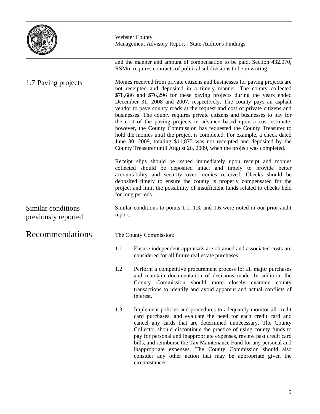

and the manner and amount of compensation to be paid. Section 432.070, RSMo, requires contracts of political subdivisions to be in writing.

Monies received from private citizens and businesses for paving projects are not receipted and deposited in a timely manner. The county collected \$78,686 and \$76,296 for these paving projects during the years ended December 31, 2008 and 2007, respectively. The county pays an asphalt vendor to pave county roads at the request and cost of private citizens and businesses. The county requires private citizens and businesses to pay for the cost of the paving projects in advance based upon a cost estimate; however, the County Commission has requested the County Treasurer to hold the monies until the project is completed. For example, a check dated June 30, 2009, totaling \$11,875 was not receipted and deposited by the County Treasurer until August 26, 2009, when the project was completed. 1.7 Paving projects

> Receipt slips should be issued immediately upon receipt and monies collected should be deposited intact and timely to provide better accountability and security over monies received. Checks should be deposited timely to ensure the county is properly compensated for the project and limit the possibility of insufficient funds related to checks held for long periods.

> Similar conditions to points 1.1, 1.3, and 1.6 were noted in our prior audit report.

The County Commission:

- 1.1 Ensure independent appraisals are obtained and associated costs are considered for all future real estate purchases.
- 1.2 Perform a competitive procurement process for all major purchases and maintain documentation of decisions made. In addition, the County Commission should more closely examine county transactions to identify and avoid apparent and actual conflicts of interest.
- 1.3 Implement policies and procedures to adequately monitor all credit card purchases, and evaluate the need for each credit card and cancel any cards that are determined unnecessary. The County Collector should discontinue the practice of using county funds to pay for personal and inappropriate expenses, review past credit card bills, and reimburse the Tax Maintenance Fund for any personal and inappropriate expenses. The County Commission should also consider any other action that may be appropriate given the circumstances.

Similar conditions previously reported

Recommendations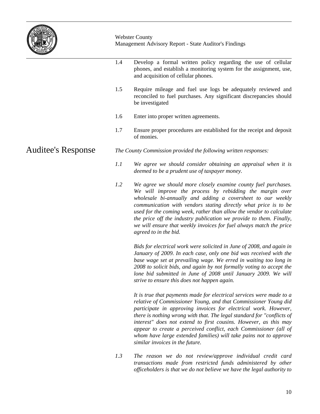

1.4 Develop a formal written policy regarding the use of cellular phones, and establish a monitoring system for the assignment, use, and acquisition of cellular phones. 1.5 Require mileage and fuel use logs be adequately reviewed and reconciled to fuel purchases. Any significant discrepancies should be investigated 1.6 Enter into proper written agreements. 1.7 Ensure proper procedures are established for the receipt and deposit of monies. *The County Commission provided the following written responses: 1.1 We agree we should consider obtaining an appraisal when it is deemed to be a prudent use of taxpayer money. 1.2 We agree we should more closely examine county fuel purchases. We will improve the process by rebidding the margin over wholesale bi-annually and adding a coversheet to our weekly communication with vendors stating directly what price is to be used for the coming week, rather than allow the vendor to calculate the price off the industry publication we provide to them. Finally, we will ensure that weekly invoices for fuel always match the price agreed to in the bid. Bids for electrical work were solicited in June of 2008, and again in January of 2009. In each case, only one bid was received with the*  Auditee's Response

*base wage set at prevailing wage. We erred in waiting too long in 2008 to solicit bids, and again by not formally voting to accept the lone bid submitted in June of 2008 until January 2009. We will strive to ensure this does not happen again.* 

*It is true that payments made for electrical services were made to a relative of Commissioner Young, and that Commissioner Young did participate in approving invoices for electrical work. However, there is nothing wrong with that. The legal standard for "conflicts of interest" does not extend to first cousins. However, as this may appear to create a perceived conflict, each Commissioner (all of whom have large extended families) will take pains not to approve similar invoices in the future.* 

*1.3 The reason we do not review/approve individual credit card transactions made from restricted funds administered by other officeholders is that we do not believe we have the legal authority to*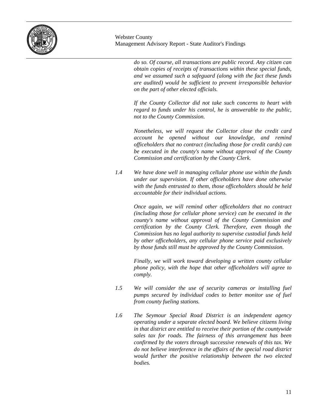

> *do so. Of course, all transactions are public record. Any citizen can obtain copies of receipts of transactions within these special funds, and we assumed such a safeguard (along with the fact these funds are audited) would be sufficient to prevent irresponsible behavior on the part of other elected officials.*

> *If the County Collector did not take such concerns to heart with regard to funds under his control, he is answerable to the public, not to the County Commission.*

> *Nonetheless, we will request the Collector close the credit card account he opened without our knowledge, and remind officeholders that no contract (including those for credit cards) can be executed in the county's name without approval of the County Commission and certification by the County Clerk.*

*1.4 We have done well in managing cellular phone use within the funds under our supervision. If other officeholders have done otherwise with the funds entrusted to them, those officeholders should be held accountable for their individual actions.*

> *Once again, we will remind other officeholders that no contract (including those for cellular phone service) can be executed in the county's name without approval of the County Commission and certification by the County Clerk. Therefore, even though the Commission has no legal authority to supervise custodial funds held by other officeholders, any cellular phone service paid exclusively by those funds still must be approved by the County Commission.*

> *Finally, we will work toward developing a written county cellular phone policy, with the hope that other officeholders will agree to comply.*

- *1.5 We will consider the use of security cameras or installing fuel pumps secured by individual codes to better monitor use of fuel from county fueling stations.*
- *1.6 The Seymour Special Road District is an independent agency operating under a separate elected board. We believe citizens living in that district are entitled to receive their portion of the countywide sales tax for roads. The fairness of this arrangement has been confirmed by the voters through successive renewals of this tax. We do not believe interference in the affairs of the special road district would further the positive relationship between the two elected bodies.*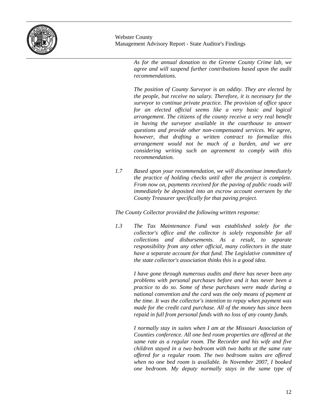

> *As for the annual donation to the Greene County Crime lab, we agree and will suspend further contributions based upon the audit recommendations.*

> *The position of County Surveyor is an oddity. They are elected by the people, but receive no salary. Therefore, it is necessary for the surveyor to continue private practice. The provision of office space for an elected official seems like a very basic and logical arrangement. The citizens of the county receive a very real benefit in having the surveyor available in the courthouse to answer questions and provide other non-compensated services. We agree, however, that drafting a written contract to formalize this arrangement would not be much of a burden, and we are considering writing such an agreement to comply with this recommendation.*

*1.7 Based upon your recommendation, we will discontinue immediately the practice of holding checks until after the project is complete. From now on, payments received for the paving of public roads will immediately be deposited into an escrow account overseen by the County Treasurer specifically for that paving project.*

*The County Collector provided the following written response:*

*1.3 The Tax Maintenance Fund was established solely for the collector's office and the collector is solely responsible for all collections and disbursements. As a result, to separate responsibility from any other official, many collectors in the state have a separate account for that fund. The Legislative committee of the state collector's association thinks this is a good idea.* 

> *I have gone through numerous audits and there has never been any problems with personal purchases before and it has never been a practice to do so. Some of these purchases were made during a national convention and the card was the only means of payment at the time. It was the collector's intention to repay when payment was made for the credit card purchase. All of the money has since been repaid in full from personal funds with no loss of any county funds.*

> *I normally stay in suites when I am at the Missouri Association of Counties conference. All one bed room properties are offered at the same rate as a regular room. The Recorder and his wife and five children stayed in a two bedroom with two baths at the same rate offered for a regular room. The two bedroom suites are offered when no one bed room is available. In November 2007, I booked one bedroom. My deputy normally stays in the same type of*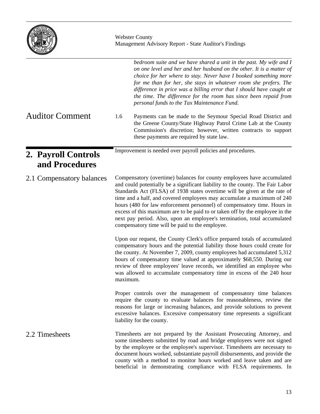|                                       | <b>Webster County</b><br>Management Advisory Report - State Auditor's Findings                                                                                                                                                                                                                                                                                                                                                                                                                                                                                                                                                                                                                                                                                                                                                                                                                                                                                                                           |  |  |
|---------------------------------------|----------------------------------------------------------------------------------------------------------------------------------------------------------------------------------------------------------------------------------------------------------------------------------------------------------------------------------------------------------------------------------------------------------------------------------------------------------------------------------------------------------------------------------------------------------------------------------------------------------------------------------------------------------------------------------------------------------------------------------------------------------------------------------------------------------------------------------------------------------------------------------------------------------------------------------------------------------------------------------------------------------|--|--|
|                                       | bedroom suite and we have shared a unit in the past. My wife and I<br>on one level and her and her husband on the other. It is a matter of<br>choice for her where to stay. Never have I booked something more<br>for me than for her, she stays in whatever room she prefers. The<br>difference in price was a billing error that I should have caught at<br>the time. The difference for the room has since been repaid from<br>personal funds to the Tax Maintenance Fund.                                                                                                                                                                                                                                                                                                                                                                                                                                                                                                                            |  |  |
| <b>Auditor Comment</b>                | 1.6<br>Payments can be made to the Seymour Special Road District and<br>the Greene County/State Highway Patrol Crime Lab at the County<br>Commission's discretion; however, written contracts to support<br>these payments are required by state law.                                                                                                                                                                                                                                                                                                                                                                                                                                                                                                                                                                                                                                                                                                                                                    |  |  |
| 2. Payroll Controls<br>and Procedures | Improvement is needed over payroll policies and procedures.                                                                                                                                                                                                                                                                                                                                                                                                                                                                                                                                                                                                                                                                                                                                                                                                                                                                                                                                              |  |  |
| 2.1 Compensatory balances             | Compensatory (overtime) balances for county employees have accumulated<br>and could potentially be a significant liability to the county. The Fair Labor<br>Standards Act (FLSA) of 1938 states overtime will be given at the rate of<br>time and a half, and covered employees may accumulate a maximum of 240<br>hours (480 for law enforcement personnel) of compensatory time. Hours in<br>excess of this maximum are to be paid to or taken off by the employee in the<br>next pay period. Also, upon an employee's termination, total accumulated<br>compensatory time will be paid to the employee.<br>Upon our request, the County Clerk's office prepared totals of accumulated<br>compensatory hours and the potential liability those hours could create for<br>the county. At November 7, 2009, county employees had accumulated 5,312<br>hours of compensatory time valued at approximately \$68,550. During our<br>review of three employees' leave records, we identified an employee who |  |  |
|                                       | was allowed to accumulate compensatory time in excess of the 240 hour<br>maximum.                                                                                                                                                                                                                                                                                                                                                                                                                                                                                                                                                                                                                                                                                                                                                                                                                                                                                                                        |  |  |
|                                       | Proper controls over the management of compensatory time balances<br>require the county to evaluate balances for reasonableness, review the<br>reasons for large or increasing balances, and provide solutions to prevent<br>excessive balances. Excessive compensatory time represents a significant<br>liability for the county.                                                                                                                                                                                                                                                                                                                                                                                                                                                                                                                                                                                                                                                                       |  |  |
| 2.2 Timesheets                        | Timesheets are not prepared by the Assistant Prosecuting Attorney, and<br>some timesheets submitted by road and bridge employees were not signed<br>by the employee or the employee's supervisor. Timesheets are necessary to<br>document hours worked, substantiate payroll disbursements, and provide the<br>county with a method to monitor hours worked and leave taken and are<br>beneficial in demonstrating compliance with FLSA requirements. In                                                                                                                                                                                                                                                                                                                                                                                                                                                                                                                                                 |  |  |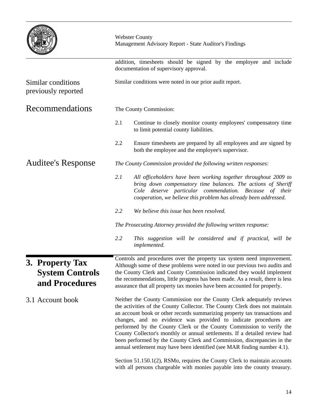|                                                             | <b>Webster County</b><br>Management Advisory Report - State Auditor's Findings                                                                                                                                                                                                                                                                                                                                                                                                                                                                                                                                                                                                                                                                                               |  |  |  |  |
|-------------------------------------------------------------|------------------------------------------------------------------------------------------------------------------------------------------------------------------------------------------------------------------------------------------------------------------------------------------------------------------------------------------------------------------------------------------------------------------------------------------------------------------------------------------------------------------------------------------------------------------------------------------------------------------------------------------------------------------------------------------------------------------------------------------------------------------------------|--|--|--|--|
|                                                             | addition, timesheets should be signed by the employee and include<br>documentation of supervisory approval.                                                                                                                                                                                                                                                                                                                                                                                                                                                                                                                                                                                                                                                                  |  |  |  |  |
| Similar conditions<br>previously reported                   | Similar conditions were noted in our prior audit report.                                                                                                                                                                                                                                                                                                                                                                                                                                                                                                                                                                                                                                                                                                                     |  |  |  |  |
| Recommendations                                             | The County Commission:                                                                                                                                                                                                                                                                                                                                                                                                                                                                                                                                                                                                                                                                                                                                                       |  |  |  |  |
|                                                             | 2.1<br>Continue to closely monitor county employees' compensatory time<br>to limit potential county liabilities.                                                                                                                                                                                                                                                                                                                                                                                                                                                                                                                                                                                                                                                             |  |  |  |  |
|                                                             | 2.2<br>Ensure timesheets are prepared by all employees and are signed by<br>both the employee and the employee's supervisor.                                                                                                                                                                                                                                                                                                                                                                                                                                                                                                                                                                                                                                                 |  |  |  |  |
| <b>Auditee's Response</b>                                   | The County Commission provided the following written responses:                                                                                                                                                                                                                                                                                                                                                                                                                                                                                                                                                                                                                                                                                                              |  |  |  |  |
|                                                             | 2.1<br>All officeholders have been working together throughout 2009 to<br>bring down compensatory time balances. The actions of Sheriff<br>Cole deserve particular commendation. Because of their<br>cooperation, we believe this problem has already been addressed.                                                                                                                                                                                                                                                                                                                                                                                                                                                                                                        |  |  |  |  |
|                                                             | 2.2<br>We believe this issue has been resolved.                                                                                                                                                                                                                                                                                                                                                                                                                                                                                                                                                                                                                                                                                                                              |  |  |  |  |
|                                                             | The Prosecuting Attorney provided the following written response:                                                                                                                                                                                                                                                                                                                                                                                                                                                                                                                                                                                                                                                                                                            |  |  |  |  |
|                                                             | 2.2<br>This suggestion will be considered and if practical, will be<br>implemented.                                                                                                                                                                                                                                                                                                                                                                                                                                                                                                                                                                                                                                                                                          |  |  |  |  |
| 3. Property Tax<br><b>System Controls</b><br>and Procedures | Controls and procedures over the property tax system need improvement.<br>Although some of these problems were noted in our previous two audits and<br>the County Clerk and County Commission indicated they would implement<br>the recommendations, little progress has been made. As a result, there is less<br>assurance that all property tax monies have been accounted for properly.                                                                                                                                                                                                                                                                                                                                                                                   |  |  |  |  |
| 3.1 Account book                                            | Neither the County Commission nor the County Clerk adequately reviews<br>the activities of the County Collector. The County Clerk does not maintain<br>an account book or other records summarizing property tax transactions and<br>changes, and no evidence was provided to indicate procedures are<br>performed by the County Clerk or the County Commission to verify the<br>County Collector's monthly or annual settlements. If a detailed review had<br>been performed by the County Clerk and Commission, discrepancies in the<br>annual settlement may have been identified (see MAR finding number 4.1).<br>Section 51.150.1(2), RSMo, requires the County Clerk to maintain accounts<br>with all persons chargeable with monies payable into the county treasury. |  |  |  |  |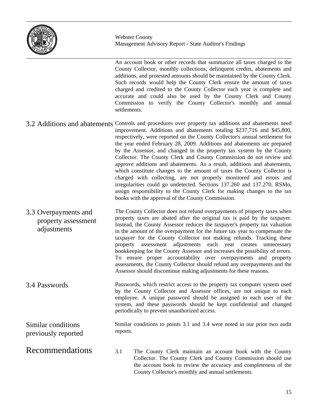

An account book or other records that summarize all taxes charged to the County Collector, monthly collections, delinquent credits, abatements and additions, and protested amounts should be maintained by the County Clerk. Such records would help the County Clerk ensure the amount of taxes charged and credited to the County Collector each year is complete and accurate and could also be used by the County Clerk and County Commission to verify the County Collector's monthly and annual settlements.

- 3.2 Additions and abatements Controls and procedures over property tax additions and abatements need improvement. Additions and abatements totaling \$237,716 and \$45,800, respectively, were reported on the County Collector's annual settlement for the year ended February 28, 2009. Additions and abatements are prepared by the Assessor, and changed in the property tax system by the County Collector. The County Clerk and County Commission do not review and approve additions and abatements. As a result, additions and abatements, which constitute changes to the amount of taxes the County Collector is charged with collecting, are not properly monitored and errors and irregularities could go undetected. Sections 137.260 and 137.270, RSMo, assign responsibility to the County Clerk for making changes to the tax books with the approval of the County Commission.
- The County Collector does not refund overpayments of property taxes when property taxes are abated after the original tax is paid by the taxpayer. Instead, the County Assessor reduces the taxpayer's property tax valuation in the amount of the overpayment for the future tax year to compensate the taxpayer for the County Collector not making refunds. Tracking these property assessment adjustments each year creates unnecessary bookkeeping for the County Assessor and increases the possibility of errors. To ensure proper accountability over overpayments and property assessments, the County Collector should refund any overpayments and the Assessor should discontinue making adjustments for these reasons. 3.3 Overpayments and property assessment adjustments
- Passwords, which restrict access to the property tax computer system used by the County Collector and Assessor offices, are not unique to each employee. A unique password should be assigned to each user of the system, and these passwords should be kept confidential and changed periodically to prevent unauthorized access. 3.4 Passwords

Similar conditions previously reported

Recommendations

- Similar conditions to points 3.1 and 3.4 were noted in our prior two audit reports.
- 3.1 The County Clerk maintain an account book with the County Collector. The County Clerk and County Commission should use the account book to review the accuracy and completeness of the County Collector's monthly and annual settlements.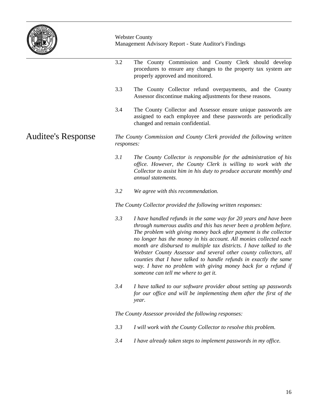

3.2 The County Commission and County Clerk should develop procedures to ensure any changes to the property tax system are properly approved and monitored. 3.3 The County Collector refund overpayments, and the County Assessor discontinue making adjustments for these reasons. 3.4 The County Collector and Assessor ensure unique passwords are assigned to each employee and these passwords are periodically changed and remain confidential. *The County Commission and County Clerk provided the following written responses: 3.1 The County Collector is responsible for the administration of his office. However, the County Clerk is willing to work with the Collector to assist him in his duty to produce accurate monthly and annual statements. 3.2 We agree with this recommendation. The County Collector provided the following written responses: 3.3 I have handled refunds in the same way for 20 years and have been through numerous audits and this has never been a problem before. The problem with giving money back after payment is the collector no longer has the money in his account. All monies collected each month are disbursed to multiple tax districts. I have talked to the Webster County Assessor and several other county collectors, all counties that I have talked to handle refunds in exactly the same way. I have no problem with giving money back for a refund if someone can tell me where to get it. 3.4 I have talked to our software provider about setting up passwords*  for our office and will be implementing them after the first of the *year. The County Assessor provided the following responses: 3.3 I will work with the County Collector to resolve this problem. 3.4 I have already taken steps to implement passwords in my office.* Auditee's Response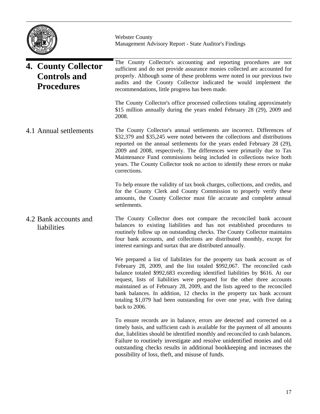

The County Collector's accounting and reporting procedures are not sufficient and do not provide assurance monies collected are accounted for properly. Although some of these problems were noted in our previous two audits and the County Collector indicated he would implement the recommendations, little progress has been made. The County Collector's office processed collections totaling approximately \$15 million annually during the years ended February 28 (29), 2009 and 2008. The County Collector's annual settlements are incorrect. Differences of \$32,379 and \$35,245 were noted between the collections and distributions reported on the annual settlements for the years ended February 28 (29), 2009 and 2008, respectively. The differences were primarily due to Tax Maintenance Fund commissions being included in collections twice both years. The County Collector took no action to identify these errors or make corrections. To help ensure the validity of tax book charges, collections, and credits, and for the County Clerk and County Commission to properly verify these amounts, the County Collector must file accurate and complete annual settlements. The County Collector does not compare the reconciled bank account balances to existing liabilities and has not established procedures to routinely follow up on outstanding checks. The County Collector maintains four bank accounts, and collections are distributed monthly, except for interest earnings and surtax that are distributed annually. We prepared a list of liabilities for the property tax bank account as of February 28, 2009, and the list totaled \$992,067. The reconciled cash balance totaled \$992,683 exceeding identified liabilities by \$616. At our request, lists of liabilities were prepared for the other three accounts maintained as of February 28, 2009, and the lists agreed to the reconciled bank balances. In addition, 12 checks in the property tax bank account totaling \$1,079 had been outstanding for over one year, with five dating back to 2006. To ensure records are in balance, errors are detected and corrected on a timely basis, and sufficient cash is available for the payment of all amounts due, liabilities should be identified monthly and reconciled to cash balances. Failure to routinely investigate and resolve unidentified monies and old outstanding checks results in additional bookkeeping and increases the **4. County Collector Controls and Procedures** 4.1 Annual settlements 4.2 Bank accounts and liabilities

possibility of loss, theft, and misuse of funds.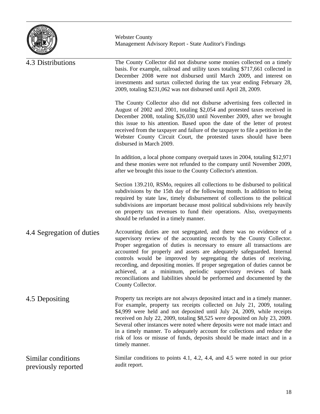

| 4.3 Distributions                         | The County Collector did not disburse some monies collected on a timely<br>basis. For example, railroad and utility taxes totaling \$717,661 collected in<br>December 2008 were not disbursed until March 2009, and interest on<br>investments and surtax collected during the tax year ending February 28,<br>2009, totaling \$231,062 was not disbursed until April 28, 2009.                                                                                                                                                                                                                                            |
|-------------------------------------------|----------------------------------------------------------------------------------------------------------------------------------------------------------------------------------------------------------------------------------------------------------------------------------------------------------------------------------------------------------------------------------------------------------------------------------------------------------------------------------------------------------------------------------------------------------------------------------------------------------------------------|
|                                           | The County Collector also did not disburse advertising fees collected in<br>August of 2002 and 2001, totaling \$2,054 and protested taxes received in<br>December 2008, totaling \$26,030 until November 2009, after we brought<br>this issue to his attention. Based upon the date of the letter of protest<br>received from the taxpayer and failure of the taxpayer to file a petition in the<br>Webster County Circuit Court, the protested taxes should have been<br>disbursed in March 2009.                                                                                                                         |
|                                           | In addition, a local phone company overpaid taxes in 2004, totaling \$12,971<br>and these monies were not refunded to the company until November 2009,<br>after we brought this issue to the County Collector's attention.                                                                                                                                                                                                                                                                                                                                                                                                 |
|                                           | Section 139.210, RSMo, requires all collections to be disbursed to political<br>subdivisions by the 15th day of the following month. In addition to being<br>required by state law, timely disbursement of collections to the political<br>subdivisions are important because most political subdivisions rely heavily<br>on property tax revenues to fund their operations. Also, overpayments<br>should be refunded in a timely manner.                                                                                                                                                                                  |
| 4.4 Segregation of duties                 | Accounting duties are not segregated, and there was no evidence of a<br>supervisory review of the accounting records by the County Collector.<br>Proper segregation of duties is necessary to ensure all transactions are<br>accounted for properly and assets are adequately safeguarded. Internal<br>controls would be improved by segregating the duties of receiving,<br>recording, and depositing monies. If proper segregation of duties cannot be<br>achieved, at a minimum, periodic supervisory reviews of bank<br>reconciliations and liabilities should be performed and documented by the<br>County Collector. |
| 4.5 Depositing                            | Property tax receipts are not always deposited intact and in a timely manner.<br>For example, property tax receipts collected on July 21, 2009, totaling<br>\$4,999 were held and not deposited until July 24, 2009, while receipts<br>received on July 22, 2009, totaling \$8,525 were deposited on July 23, 2009.<br>Several other instances were noted where deposits were not made intact and<br>in a timely manner. To adequately account for collections and reduce the<br>risk of loss or misuse of funds, deposits should be made intact and in a<br>timely manner.                                                |
| Similar conditions<br>previously reported | Similar conditions to points 4.1, 4.2, 4.4, and 4.5 were noted in our prior<br>audit report.                                                                                                                                                                                                                                                                                                                                                                                                                                                                                                                               |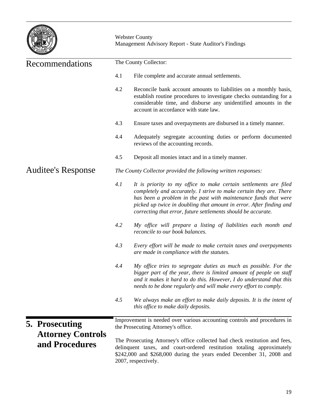

| Recommendations                                              | The County Collector:                                                                                              |                                                                                                                                                                                                                                                                                                                                                     |  |  |
|--------------------------------------------------------------|--------------------------------------------------------------------------------------------------------------------|-----------------------------------------------------------------------------------------------------------------------------------------------------------------------------------------------------------------------------------------------------------------------------------------------------------------------------------------------------|--|--|
|                                                              | 4.1                                                                                                                | File complete and accurate annual settlements.                                                                                                                                                                                                                                                                                                      |  |  |
|                                                              | 4.2                                                                                                                | Reconcile bank account amounts to liabilities on a monthly basis,<br>establish routine procedures to investigate checks outstanding for a<br>considerable time, and disburse any unidentified amounts in the<br>account in accordance with state law.                                                                                               |  |  |
|                                                              | 4.3                                                                                                                | Ensure taxes and overpayments are disbursed in a timely manner.                                                                                                                                                                                                                                                                                     |  |  |
|                                                              | 4.4                                                                                                                | Adequately segregate accounting duties or perform documented<br>reviews of the accounting records.                                                                                                                                                                                                                                                  |  |  |
|                                                              | 4.5                                                                                                                | Deposit all monies intact and in a timely manner.                                                                                                                                                                                                                                                                                                   |  |  |
| <b>Auditee's Response</b>                                    |                                                                                                                    | The County Collector provided the following written responses:                                                                                                                                                                                                                                                                                      |  |  |
|                                                              | 4.1                                                                                                                | It is priority to my office to make certain settlements are filed<br>completely and accurately. I strive to make certain they are. There<br>has been a problem in the past with maintenance funds that were<br>picked up twice in doubling that amount in error. After finding and<br>correcting that error, future settlements should be accurate. |  |  |
|                                                              | 4.2                                                                                                                | My office will prepare a listing of liabilities each month and<br>reconcile to our book balances.                                                                                                                                                                                                                                                   |  |  |
|                                                              | 4.3                                                                                                                | Every effort will be made to make certain taxes and overpayments<br>are made in compliance with the statutes.                                                                                                                                                                                                                                       |  |  |
|                                                              | 4.4                                                                                                                | My office tries to segregate duties as much as possible. For the<br>bigger part of the year, there is limited amount of people on staff<br>and it makes it hard to do this. However, I do understand that this<br>needs to be done regularly and will make every effort to comply.                                                                  |  |  |
|                                                              | 4.5<br>We always make an effort to make daily deposits. It is the intent of<br>this office to make daily deposits. |                                                                                                                                                                                                                                                                                                                                                     |  |  |
| 5. Prosecuting<br><b>Attorney Controls</b><br>and Procedures |                                                                                                                    | Improvement is needed over various accounting controls and procedures in<br>the Prosecuting Attorney's office.                                                                                                                                                                                                                                      |  |  |
|                                                              |                                                                                                                    | The Prosecuting Attorney's office collected bad check restitution and fees,<br>delinquent taxes, and court-ordered restitution totaling approximately<br>\$242,000 and \$268,000 during the years ended December 31, 2008 and<br>2007, respectively.                                                                                                |  |  |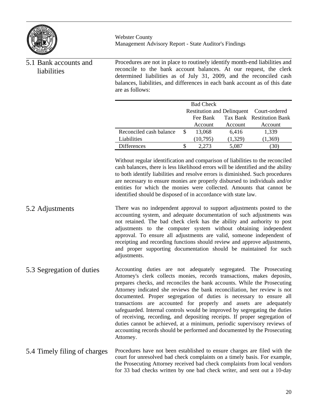

| 5.1 Bank accounts and<br>liabilities | Procedures are not in place to routinely identify month-end liabilities and<br>reconcile to the bank account balances. At our request, the clerk<br>determined liabilities as of July 31, 2009, and the reconciled cash<br>balances, liabilities, and differences in each bank account as of this date<br>are as follows:                                                                                                                                                                                                                                                                                                                                                                                                                                                         |    |                  |         |                                          |
|--------------------------------------|-----------------------------------------------------------------------------------------------------------------------------------------------------------------------------------------------------------------------------------------------------------------------------------------------------------------------------------------------------------------------------------------------------------------------------------------------------------------------------------------------------------------------------------------------------------------------------------------------------------------------------------------------------------------------------------------------------------------------------------------------------------------------------------|----|------------------|---------|------------------------------------------|
|                                      |                                                                                                                                                                                                                                                                                                                                                                                                                                                                                                                                                                                                                                                                                                                                                                                   |    | <b>Bad Check</b> |         |                                          |
|                                      |                                                                                                                                                                                                                                                                                                                                                                                                                                                                                                                                                                                                                                                                                                                                                                                   |    |                  |         | Restitution and Delinquent Court-ordered |
|                                      |                                                                                                                                                                                                                                                                                                                                                                                                                                                                                                                                                                                                                                                                                                                                                                                   |    | Fee Bank         |         | Tax Bank Restitution Bank                |
|                                      |                                                                                                                                                                                                                                                                                                                                                                                                                                                                                                                                                                                                                                                                                                                                                                                   |    | Account          | Account | Account                                  |
|                                      | Reconciled cash balance                                                                                                                                                                                                                                                                                                                                                                                                                                                                                                                                                                                                                                                                                                                                                           | \$ | 13,068           | 6,416   | 1,339                                    |
|                                      | Liabilities                                                                                                                                                                                                                                                                                                                                                                                                                                                                                                                                                                                                                                                                                                                                                                       |    | (10,795)         | (1,329) | (1,369)                                  |
|                                      | Differences                                                                                                                                                                                                                                                                                                                                                                                                                                                                                                                                                                                                                                                                                                                                                                       | \$ | 2,273            | 5,087   | (30)                                     |
|                                      | Without regular identification and comparison of liabilities to the reconciled<br>cash balances, there is less likelihood errors will be identified and the ability<br>to both identify liabilities and resolve errors is diminished. Such procedures<br>are necessary to ensure monies are properly disbursed to individuals and/or<br>entities for which the monies were collected. Amounts that cannot be<br>identified should be disposed of in accordance with state law.                                                                                                                                                                                                                                                                                                    |    |                  |         |                                          |
| 5.2 Adjustments                      | There was no independent approval to support adjustments posted to the<br>accounting system, and adequate documentation of such adjustments was<br>not retained. The bad check clerk has the ability and authority to post<br>adjustments to the computer system without obtaining independent<br>approval. To ensure all adjustments are valid, someone independent of<br>receipting and recording functions should review and approve adjustments,<br>and proper supporting documentation should be maintained for such<br>adjustments.                                                                                                                                                                                                                                         |    |                  |         |                                          |
| 5.3 Segregation of duties            | Accounting duties are not adequately segregated. The Prosecuting<br>Attorney's clerk collects monies, records transactions, makes deposits,<br>prepares checks, and reconciles the bank accounts. While the Prosecuting<br>Attorney indicated she reviews the bank reconciliation, her review is not<br>documented. Proper segregation of duties is necessary to ensure all<br>transactions are accounted for properly and assets are adequately<br>safeguarded. Internal controls would be improved by segregating the duties<br>of receiving, recording, and depositing receipts. If proper segregation of<br>duties cannot be achieved, at a minimum, periodic supervisory reviews of<br>accounting records should be performed and documented by the Prosecuting<br>Attorney. |    |                  |         |                                          |
| 5.4 Timely filing of charges         | Procedures have not been established to ensure charges are filed with the<br>court for unresolved bad check complaints on a timely basis. For example,<br>the Prosecuting Attorney received bad check complaints from local vendors                                                                                                                                                                                                                                                                                                                                                                                                                                                                                                                                               |    |                  |         |                                          |

for 33 bad checks written by one bad check writer, and sent out a 10-day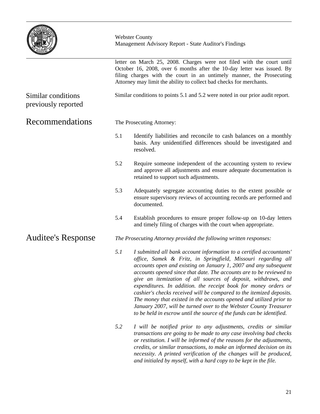|                                           |     | <b>Webster County</b><br>Management Advisory Report - State Auditor's Findings<br>letter on March 25, 2008. Charges were not filed with the court until<br>October 16, 2008, over 6 months after the 10-day letter was issued. By<br>filing charges with the court in an untimely manner, the Prosecuting<br>Attorney may limit the ability to collect bad checks for merchants.                                                                                                                                                                                                                                                                                                                                  |  |  |  |
|-------------------------------------------|-----|-------------------------------------------------------------------------------------------------------------------------------------------------------------------------------------------------------------------------------------------------------------------------------------------------------------------------------------------------------------------------------------------------------------------------------------------------------------------------------------------------------------------------------------------------------------------------------------------------------------------------------------------------------------------------------------------------------------------|--|--|--|
|                                           |     |                                                                                                                                                                                                                                                                                                                                                                                                                                                                                                                                                                                                                                                                                                                   |  |  |  |
| Similar conditions<br>previously reported |     | Similar conditions to points 5.1 and 5.2 were noted in our prior audit report.                                                                                                                                                                                                                                                                                                                                                                                                                                                                                                                                                                                                                                    |  |  |  |
| Recommendations                           |     | The Prosecuting Attorney:                                                                                                                                                                                                                                                                                                                                                                                                                                                                                                                                                                                                                                                                                         |  |  |  |
|                                           | 5.1 | Identify liabilities and reconcile to cash balances on a monthly<br>basis. Any unidentified differences should be investigated and<br>resolved.                                                                                                                                                                                                                                                                                                                                                                                                                                                                                                                                                                   |  |  |  |
|                                           | 5.2 | Require someone independent of the accounting system to review<br>and approve all adjustments and ensure adequate documentation is<br>retained to support such adjustments.                                                                                                                                                                                                                                                                                                                                                                                                                                                                                                                                       |  |  |  |
|                                           | 5.3 | Adequately segregate accounting duties to the extent possible or<br>ensure supervisory reviews of accounting records are performed and<br>documented.                                                                                                                                                                                                                                                                                                                                                                                                                                                                                                                                                             |  |  |  |
|                                           | 5.4 | Establish procedures to ensure proper follow-up on 10-day letters<br>and timely filing of charges with the court when appropriate.                                                                                                                                                                                                                                                                                                                                                                                                                                                                                                                                                                                |  |  |  |
| <b>Auditee's Response</b>                 |     | The Prosecuting Attorney provided the following written responses:                                                                                                                                                                                                                                                                                                                                                                                                                                                                                                                                                                                                                                                |  |  |  |
|                                           | 5.1 | I submitted all bank account information to a certified accountants'<br>office, Samek & Fritz, in Springfield, Missouri regarding all<br>accounts open and existing on January 1, 2007 and any subsequent<br>accounts opened since that date. The accounts are to be reviewed to<br>give an itemization of all sources of deposit, withdraws, and<br>expenditures. In addition, the receipt book for money orders or<br>cashier's checks received will be compared to the itemized deposits.<br>The money that existed in the accounts opened and utilized prior to<br>January 2007, will be turned over to the Webster County Treasurer<br>to be held in escrow until the source of the funds can be identified. |  |  |  |
|                                           | 5.2 | I will be notified prior to any adjustments, credits or similar<br>transactions are going to be made to any case involving bad checks<br>or restitution. I will be informed of the reasons for the adjustments,<br>credits, or similar transactions, to make an informed decision on its<br>necessity. A printed verification of the changes will be produced,<br>and initialed by myself, with a hard copy to be kept in the file.                                                                                                                                                                                                                                                                               |  |  |  |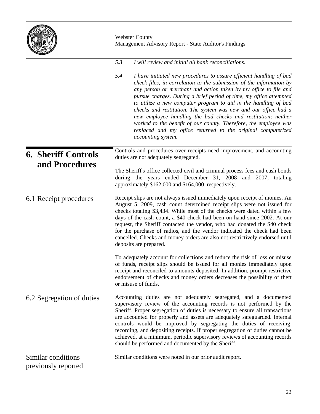| <b>RESTAT</b><br><b>SOLVIOR</b><br>÷<br><b>MISSOUR</b> |
|--------------------------------------------------------|
|--------------------------------------------------------|

|                                           | <b>Webster County</b><br>Management Advisory Report - State Auditor's Findings                                                                                                                                                                                                                                                                                                                                                                                                                                                                                                                                                                               |  |  |
|-------------------------------------------|--------------------------------------------------------------------------------------------------------------------------------------------------------------------------------------------------------------------------------------------------------------------------------------------------------------------------------------------------------------------------------------------------------------------------------------------------------------------------------------------------------------------------------------------------------------------------------------------------------------------------------------------------------------|--|--|
|                                           | 5.3<br>I will review and initial all bank reconciliations.                                                                                                                                                                                                                                                                                                                                                                                                                                                                                                                                                                                                   |  |  |
|                                           | 5.4<br>I have initiated new procedures to assure efficient handling of bad<br>check files, in correlation to the submission of the information by<br>any person or merchant and action taken by my office to file and<br>pursue charges. During a brief period of time, my office attempted<br>to utilize a new computer program to aid in the handling of bad<br>checks and restitution. The system was new and our office had a<br>new employee handling the bad checks and restitution; neither<br>worked to the benefit of our county. Therefore, the employee was<br>replaced and my office returned to the original computerized<br>accounting system. |  |  |
| <b>6. Sheriff Controls</b>                | Controls and procedures over receipts need improvement, and accounting<br>duties are not adequately segregated.                                                                                                                                                                                                                                                                                                                                                                                                                                                                                                                                              |  |  |
| and Procedures                            | The Sheriff's office collected civil and criminal process fees and cash bonds<br>during the years ended December 31, 2008 and 2007, totaling<br>approximately \$162,000 and \$164,000, respectively.                                                                                                                                                                                                                                                                                                                                                                                                                                                         |  |  |
| 6.1 Receipt procedures                    | Receipt slips are not always issued immediately upon receipt of monies. An<br>August 5, 2009, cash count determined receipt slips were not issued for<br>checks totaling \$3,434. While most of the checks were dated within a few<br>days of the cash count, a \$40 check had been on hand since 2002. At our<br>request, the Sheriff contacted the vendor, who had donated the \$40 check<br>for the purchase of radios, and the vendor indicated the check had been<br>cancelled. Checks and money orders are also not restrictively endorsed until<br>deposits are prepared.                                                                             |  |  |
|                                           | To adequately account for collections and reduce the risk of loss or misuse<br>of funds, receipt slips should be issued for all monies immediately upon<br>receipt and reconciled to amounts deposited. In addition, prompt restrictive<br>endorsement of checks and money orders decreases the possibility of theft<br>or misuse of funds.                                                                                                                                                                                                                                                                                                                  |  |  |
| 6.2 Segregation of duties                 | Accounting duties are not adequately segregated, and a documented<br>supervisory review of the accounting records is not performed by the<br>Sheriff. Proper segregation of duties is necessary to ensure all transactions<br>are accounted for properly and assets are adequately safeguarded. Internal<br>controls would be improved by segregating the duties of receiving,<br>recording, and depositing receipts. If proper segregation of duties cannot be<br>achieved, at a minimum, periodic supervisory reviews of accounting records<br>should be performed and documented by the Sheriff.                                                          |  |  |
| Similar conditions<br>previously reported | Similar conditions were noted in our prior audit report.                                                                                                                                                                                                                                                                                                                                                                                                                                                                                                                                                                                                     |  |  |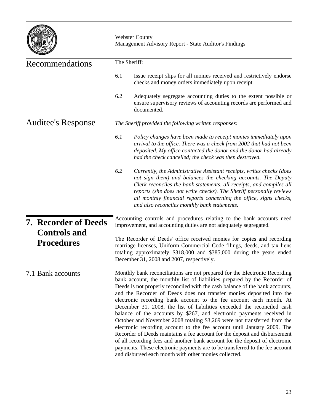|                                          | <b>Webster County</b><br>Management Advisory Report - State Auditor's Findings<br>The Sheriff:                                                                                                                                                                                                                                                                                                                                                                                                                                                                                                                                                                                                                                                                                                                                                                                                                                                                                                            |  |  |  |
|------------------------------------------|-----------------------------------------------------------------------------------------------------------------------------------------------------------------------------------------------------------------------------------------------------------------------------------------------------------------------------------------------------------------------------------------------------------------------------------------------------------------------------------------------------------------------------------------------------------------------------------------------------------------------------------------------------------------------------------------------------------------------------------------------------------------------------------------------------------------------------------------------------------------------------------------------------------------------------------------------------------------------------------------------------------|--|--|--|
| Recommendations                          |                                                                                                                                                                                                                                                                                                                                                                                                                                                                                                                                                                                                                                                                                                                                                                                                                                                                                                                                                                                                           |  |  |  |
|                                          | 6.1<br>Issue receipt slips for all monies received and restrictively endorse<br>checks and money orders immediately upon receipt.                                                                                                                                                                                                                                                                                                                                                                                                                                                                                                                                                                                                                                                                                                                                                                                                                                                                         |  |  |  |
|                                          | 6.2<br>Adequately segregate accounting duties to the extent possible or<br>ensure supervisory reviews of accounting records are performed and<br>documented.                                                                                                                                                                                                                                                                                                                                                                                                                                                                                                                                                                                                                                                                                                                                                                                                                                              |  |  |  |
| <b>Auditee's Response</b>                | The Sheriff provided the following written responses:                                                                                                                                                                                                                                                                                                                                                                                                                                                                                                                                                                                                                                                                                                                                                                                                                                                                                                                                                     |  |  |  |
|                                          | 6.1<br>Policy changes have been made to receipt monies immediately upon<br>arrival to the office. There was a check from 2002 that had not been<br>deposited. My office contacted the donor and the donor had already<br>had the check cancelled; the check was then destroyed.                                                                                                                                                                                                                                                                                                                                                                                                                                                                                                                                                                                                                                                                                                                           |  |  |  |
|                                          | 6.2<br>Currently, the Administrative Assistant receipts, writes checks (does<br>not sign them) and balances the checking accounts. The Deputy<br>Clerk reconciles the bank statements, all receipts, and compiles all<br>reports (she does not write checks). The Sheriff personally reviews<br>all monthly financial reports concerning the office, signs checks,<br>and also reconciles monthly bank statements.                                                                                                                                                                                                                                                                                                                                                                                                                                                                                                                                                                                        |  |  |  |
| <b>7. Recorder of Deeds</b>              | Accounting controls and procedures relating to the bank accounts need<br>improvement, and accounting duties are not adequately segregated.                                                                                                                                                                                                                                                                                                                                                                                                                                                                                                                                                                                                                                                                                                                                                                                                                                                                |  |  |  |
| <b>Controls and</b><br><b>Procedures</b> | The Recorder of Deeds' office received monies for copies and recording<br>marriage licenses, Uniform Commercial Code filings, deeds, and tax liens<br>totaling approximately \$318,000 and \$385,000 during the years ended<br>December 31, 2008 and 2007, respectively.                                                                                                                                                                                                                                                                                                                                                                                                                                                                                                                                                                                                                                                                                                                                  |  |  |  |
| 7.1 Bank accounts                        | Monthly bank reconciliations are not prepared for the Electronic Recording<br>bank account, the monthly list of liabilities prepared by the Recorder of<br>Deeds is not properly reconciled with the cash balance of the bank accounts,<br>and the Recorder of Deeds does not transfer monies deposited into the<br>electronic recording bank account to the fee account each month. At<br>December 31, 2008, the list of liabilities exceeded the reconciled cash<br>balance of the accounts by \$267, and electronic payments received in<br>October and November 2008 totaling \$3,269 were not transferred from the<br>electronic recording account to the fee account until January 2009. The<br>Recorder of Deeds maintains a fee account for the deposit and disbursement<br>of all recording fees and another bank account for the deposit of electronic<br>payments. These electronic payments are to be transferred to the fee account<br>and disbursed each month with other monies collected. |  |  |  |

 $\overline{\phantom{0}}$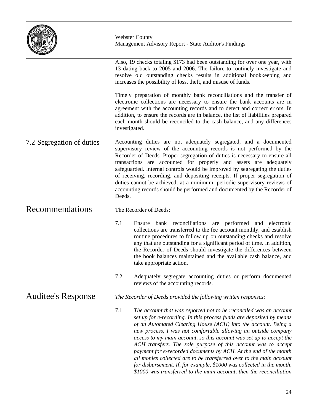

Also, 19 checks totaling \$173 had been outstanding for over one year, with 13 dating back to 2005 and 2006. The failure to routinely investigate and resolve old outstanding checks results in additional bookkeeping and increases the possibility of loss, theft, and misuse of funds.

Timely preparation of monthly bank reconciliations and the transfer of electronic collections are necessary to ensure the bank accounts are in agreement with the accounting records and to detect and correct errors. In addition, to ensure the records are in balance, the list of liabilities prepared each month should be reconciled to the cash balance, and any differences investigated.

Accounting duties are not adequately segregated, and a documented supervisory review of the accounting records is not performed by the Recorder of Deeds. Proper segregation of duties is necessary to ensure all transactions are accounted for properly and assets are adequately safeguarded. Internal controls would be improved by segregating the duties of receiving, recording, and depositing receipts. If proper segregation of duties cannot be achieved, at a minimum, periodic supervisory reviews of accounting records should be performed and documented by the Recorder of Deeds. 7.2 Segregation of duties

#### Recommendations

Auditee's Response

The Recorder of Deeds:

- 7.1 Ensure bank reconciliations are performed and electronic collections are transferred to the fee account monthly, and establish routine procedures to follow up on outstanding checks and resolve any that are outstanding for a significant period of time. In addition, the Recorder of Deeds should investigate the differences between the book balances maintained and the available cash balance, and take appropriate action.
- 7.2 Adequately segregate accounting duties or perform documented reviews of the accounting records.
- *The Recorder of Deeds provided the following written responses:*
- 7.1 *The account that was reported not to be reconciled was an account set up for e-recording. In this process funds are deposited by means of an Automated Clearing House (ACH) into the account. Being a new process, I was not comfortable allowing an outside company access to my main account, so this account was set up to accept the ACH transfers. The sole purpose of this account was to accept payment for e-recorded documents by ACH. At the end of the month all monies collected are to be transferred over to the main account for disbursement. If, for example, \$1000 was collected in the month, \$1000 was transferred to the main account, then the reconciliation*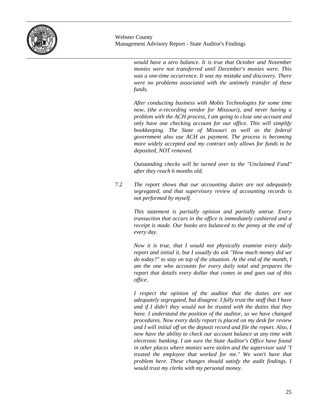

> *would have a zero balance. It is true that October and November monies were not transferred until December's monies were. This was a one-time occurrence. It was my mistake and discovery. There were no problems associated with the untimely transfer of these funds.*

> *After conducting business with Mobis Technologies for some time now, (the e-recording vendor for Missouri), and never having a problem with the ACH process, I am going to close one account and only have one checking account for our office. This will simplify bookkeeping. The State of Missouri as well as the federal government also use ACH as payment. The process is becoming more widely accepted and my contract only allows for funds to be deposited, NOT removed.*

> *Outstanding checks will be turned over to the "Unclaimed Fund" after they reach 6 months old.*

7.2 *The report shows that our accounting duties are not adequately segregated, and that supervisory review of accounting records is not performed by myself.*

> *This statement is partially opinion and partially untrue. Every transaction that occurs in the office is immediately cashiered and a receipt is made. Our books are balanced to the penny at the end of every day.*

> *Now it is true, that I would not physically examine every daily report and initial it, but I usually do ask "How much money did we do today?" to stay on top of the situation. At the end of the month, I am the one who accounts for every daily total and prepares the report that details every dollar that comes in and goes out of this office.*

> *I respect the opinion of the auditor that the duties are not adequately segregated, but disagree. I fully trust the staff that I have and if I didn't they would not be trusted with the duties that they have. I understand the position of the auditor, so we have changed procedures. Now every daily report is placed on my desk for review and I will initial off on the deposit record and file the report. Also, I now have the ability to check our account balance at any time with electronic banking. I am sure the State Auditor's Office have found in other places where monies were stolen and the supervisor said "I trusted the employee that worked for me." We won't have that problem here. These changes should satisfy the audit findings. I would trust my clerks with my personal money.*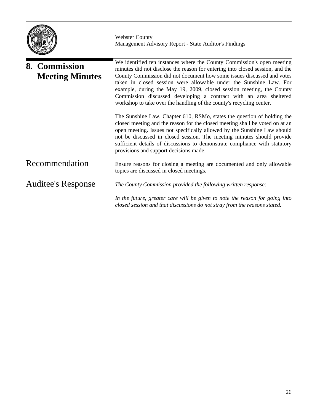

|                           | 8. Commission<br><b>Meeting Minutes</b> | We identified ten instances where the County Commission's open meeting<br>minutes did not disclose the reason for entering into closed session, and the<br>County Commission did not document how some issues discussed and votes                                                                                                                                                                                                     |
|---------------------------|-----------------------------------------|---------------------------------------------------------------------------------------------------------------------------------------------------------------------------------------------------------------------------------------------------------------------------------------------------------------------------------------------------------------------------------------------------------------------------------------|
|                           |                                         | taken in closed session were allowable under the Sunshine Law. For<br>example, during the May 19, 2009, closed session meeting, the County<br>Commission discussed developing a contract with an area sheltered<br>workshop to take over the handling of the county's recycling center.                                                                                                                                               |
|                           |                                         | The Sunshine Law, Chapter 610, RSMo, states the question of holding the<br>closed meeting and the reason for the closed meeting shall be voted on at an<br>open meeting. Issues not specifically allowed by the Sunshine Law should<br>not be discussed in closed session. The meeting minutes should provide<br>sufficient details of discussions to demonstrate compliance with statutory<br>provisions and support decisions made. |
|                           | Recommendation                          | Ensure reasons for closing a meeting are documented and only allowable<br>topics are discussed in closed meetings.                                                                                                                                                                                                                                                                                                                    |
| <b>Auditee's Response</b> |                                         | The County Commission provided the following written response:                                                                                                                                                                                                                                                                                                                                                                        |
|                           |                                         | In the future, greater care will be given to note the reason for going into<br>closed session and that discussions do not stray from the reasons stated.                                                                                                                                                                                                                                                                              |